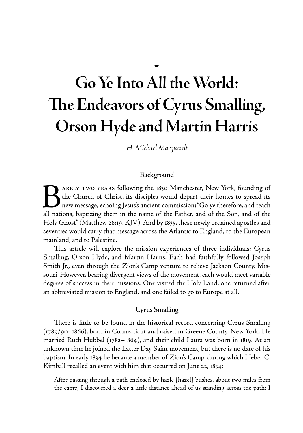# **Go Ye Into All the World: The Endeavors of Cyrus Smalling, Orson Hyde and Martin Harris**

*H. Michael Marquardt*

## **Background**

Barely TWO YEARS following the 1830 Manchester, New York, founding of the Church of Christ, its disciples would depart their homes to spread its new message, echoing Jesus's ancient commission: "Go ye therefore, and teach the Church of Christ, its disciples would depart their homes to spread its new message, echoing Jesus's ancient commission: "Go ye therefore, and teach all nations, baptizing them in the name of the Father, and of the Son, and of the Holy Ghost" (Matthew 28:19, KJV). And by 1835, these newly ordained apostles and seventies would carry that message across the Atlantic to England, to the European mainland, and to Palestine.

This article will explore the mission experiences of three individuals: Cyrus Smalling, Orson Hyde, and Martin Harris. Each had faithfully followed Joseph Smith Jr., even through the Zion's Camp venture to relieve Jackson County, Missouri. However, bearing divergent views of the movement, each would meet variable degrees of success in their missions. One visited the Holy Land, one returned after an abbreviated mission to England, and one failed to go to Europe at all.

### **Cyrus Smalling**

There is little to be found in the historical record concerning Cyrus Smalling (1789/90–1866), born in Connecticut and raised in Greene County, New York. He married Ruth Hubbel (1782–1864), and their child Laura was born in 1819. At an unknown time he joined the Latter Day Saint movement, but there is no date of his baptism. In early 1834 he became a member of Zion's Camp, during which Heber C. Kimball recalled an event with him that occurred on June 22, 1834:

After passing through a path enclosed by hazle [hazel] bushes, about two miles from the camp, I discovered a deer a little distance ahead of us standing across the path; I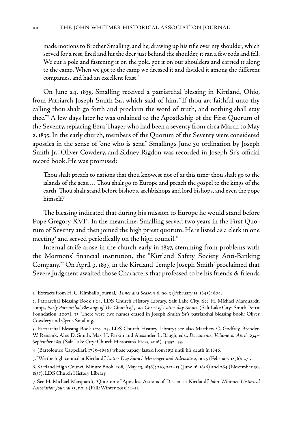made motions to Brother Smalling, and he, drawing up his rifle over my shoulder, which served for a rest, fired and hit the deer just behind the shoulder, it ran a few rods and fell. We cut a pole and fastening it on the pole, got it on our shoulders and carried it along to the camp. When we got to the camp we dressed it and divided it among the different companies, and had an excellent feast.<sup>1</sup>

On June 24, 1835, Smalling received a patriarchal blessing in Kirtland, Ohio, from Patriarch Joseph Smith Sr., which said of him, "If thou art faithful unto thy calling thou shalt go forth and proclaim the word of truth, and nothing shall stay thee."2 A few days later he was ordained to the Apostleship of the First Quorum of the Seventy, replacing Ezra Thayer who had been a seventy from circa March to May 2, 1835. In the early church, members of the Quorum of the Seventy were considered apostles in the sense of "one who is sent." Smalling's June 30 ordination by Joseph Smith Jr., Oliver Cowdery, and Sidney Rigdon was recorded in Joseph Sr.'s official record book.He was promised:

Thou shalt preach to nations that thou knowest not of at this time: thou shalt go to the islands of the seas.… Thou shalt go to Europe and preach the gospel to the kings of the earth. Thou shalt stand before bishops, archbishops and lord bishops, and even the pope himself.3

The blessing indicated that during his mission to Europe he would stand before Pope Gregory XVI<sup>4</sup>. In the meantime, Smalling served two years in the First Quorum of Seventy and then joined the high priest quorum. He is listed as a clerk in one meeting<sup>5</sup> and served periodically on the high council.<sup>6</sup>

Internal strife arose in the church early in 1837, stemming from problems with the Mormons' financial institution, the "Kirtland Safety Society Anti-Banking Company."7 On April 9, 1837, in the Kirtland Temple Joseph Smith "proclaimed that Severe Judgment awaited those Characters that professed to be his friends & friends

<sup>1. &</sup>quot;Extracts from H. C. Kimball's Journal," *Times and Seasons* 6, no. 3 (February 15, 1845): 804.

<sup>2.</sup> Patriarchal Blessing Book 1:24, LDS Church History Library, Salt Lake City. See H. Michael Marquardt, comp., *Early Patriarchal Blessings of The Church of Jesus Christ of Latter-day-Saints.* (Salt Lake City: Smith-Pettit Foundation, 2007), 33. There were two names erased in Joseph Smith Sr.'s patriarchal blessing book: Oliver Cowdery and Cyrus Smalling.

<sup>3.</sup> Patriarchal Blessing Book 1:24–25, LDS Church History Library; see also Matthew C. Godfrey, Brenden W. Rensink, Alex D. Smith, Max H. Parkin and Alexander L. Baugh, eds., *Documents, Volume 4: April 1834– September 1835* (Salt Lake City: Church Historian's Press, 2016), 4:352–53.

<sup>4. (</sup>Bartolomeo Cappellari, 1785–1846) whose papacy lasted from 1831 until his death in 1846.

<sup>5. &</sup>quot;We the high council at Kirtland," *Latter Day Saints' Messenger and Advocate* 2, no. 5 (February 1836): 271.

<sup>6.</sup> Kirtland High Council Minute Book, 208, (May 23, 1836); 210, 212–13 ( June 16, 1836) and 264 (November 30, 1837), LDS Church History Library.

<sup>7.</sup> See H. Michael Marquardt, "Quorum of Apostles: Actions of Dissent at Kirtland," *John Whitmer Historical Association Journal* 35, no. 2 (Fall/Winter 2015): 1–11.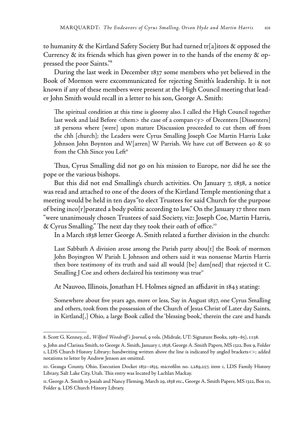to humanity & the Kirtland Safety Society But had turned tr[a]itors & opposed the Currency  $\&$  its friends which has given power in to the hands of the enemy  $\&$  oppressed the poor Saints."8

During the last week in December 1837 some members who yet believed in the Book of Mormon were excommunicated for rejecting Smith's leadership. It is not known if any of these members were present at the High Council meeting that leader John Smith would recall in a letter to his son, George A. Smith:

The spiritual condition at this time is gloomy also. I called the High Council together last week and laid Before <them> the case of a compan<y> of Decenters [Dissenters] 28 persons where [were] upon mature Discussion proceeded to cut them off from the chh [church]; the Leaders were Cyrus Smalling Joseph Coe Martin Harris Luke Johnson John Boynton and W[arren] W Parrish. We have cut off Between 40 & 50 from the Chh Since you Left<sup>9</sup>

Thus, Cyrus Smalling did not go on his mission to Europe, nor did he see the pope or the various bishops.

But this did not end Smalling's church activities. On January 7, 1838, a notice was read and attached to one of the doors of the Kirtland Temple mentioning that a meeting would be held in ten days "to elect Trustees for said Church for the purpose of being inco[r]porated a body politic according to law." On the January 17 three men "were unanimously chosen Trustees of said Society, viz: Joseph Coe, Martin Harris, & Cyrus Smalling." The next day they took their oath of office.<sup>10</sup>

In a March 1838 letter George A. Smith related a further division in the church:

Last Sabbath A division arose among the Parish party abou[t] the Book of mormon John Boyington W Parish L Johnson and others said it was nonsense Martin Harris then bore testimony of its truth and said all would [be] dam[ned] that rejected it C. Smalling J Coe and others declaired his testimony was true<sup>11</sup>

At Nauvoo, Illinois, Jonathan H. Holmes signed an affidavit in 1843 stating:

Somewhere about five years ago, more or less, Say in August 1837, one Cyrus Smalling and others, took from the possession of the Church of Jesus Christ of Later day Saints, in Kirtland[,] Ohio, a large Book called the 'blessing book,' therein the care and hands

<sup>8.</sup> Scott G. Kenney, ed., *Wilford Woodruff's Journal*, 9 vols. (Midvale, UT: Signature Books, 1983–85), 1:138.

<sup>9.</sup> John and Clarissa Smith, to George A. Smith, January 1, 1838, George A. Smith Papers, MS 1322, Box 9, Folder 1, LDS Church History Library; handwriting written above the line is indicated by angled brackets<>; added notations to letter by Andrew Jenson are omitted.

<sup>10.</sup> Geauga County, Ohio, Execution Docket 1831–1835, microfilm no. 1,289,257, item 1, LDS Family History Library, Salt Lake City, Utah. This entry was located by Lachlan Mackay.

<sup>11.</sup> George A. Smith to Josiah and Nancy Fleming, March 29, 1838 etc., George A. Smith Papers, MS 1322, Box 10, Folder 9, LDS Church History Library.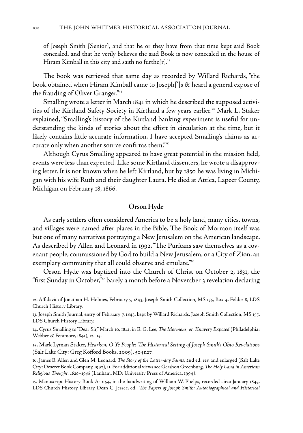of Joseph Smith [Senior], and that he or they have from that time kept said Book concealed. and that he verily believes the said Book is now concealed in the house of Hiram Kimball in this city and saith no furthe[r].<sup>12</sup>

The book was retrieved that same day as recorded by Willard Richards, "the book obtained when Hiram Kimball came to Joseph[']s & heard a general expose of the frauding of Oliver Granger."13

Smalling wrote a letter in March 1841 in which he described the supposed activities of the Kirtland Safety Society in Kirtland a few years earlier.14 Mark L. Staker explained, "Smalling's history of the Kirtland banking experiment is useful for understanding the kinds of stories about the effort in circulation at the time, but it likely contains little accurate information. I have accepted Smalling's claims as accurate only when another source confirms them."15

Although Cyrus Smalling appeared to have great potential in the mission field, events were less than expected. Like some Kirtland dissenters, he wrote a disapproving letter. It is not known when he left Kirtland, but by 1850 he was living in Michigan with his wife Ruth and their daughter Laura. He died at Attica, Lapeer County, Michigan on February 18, 1866.

#### **Orson Hyde**

As early settlers often considered America to be a holy land, many cities, towns, and villages were named after places in the Bible. The Book of Mormon itself was but one of many narratives portraying a New Jerusalem on the American landscape. As described by Allen and Leonard in 1992, "The Puritans saw themselves as a covenant people, commissioned by God to build a New Jerusalem, or a City of Zion, an exemplary community that all could observe and emulate."<sup>16</sup>

Orson Hyde was baptized into the Church of Christ on October 2, 1831, the "first Sunday in October,"17 barely a month before a November 3 revelation declaring

<sup>12.</sup> Affidavit of Jonathan H. Holmes, February 7, 1843, Joseph Smith Collection, MS 155, Box 4, Folder 8, LDS Church History Library.

<sup>13.</sup> Joseph Smith Journal, entry of February 7, 1843, kept by Willard Richards, Joseph Smith Collection, MS 155, LDS Church History Library.

<sup>14.</sup> Cyrus Smalling to "Dear Sir," March 10, 1841, in E. G. Lee, *The Mormons, or, Knavery Exposed* (Philadelphia: Webber & Fenimore, 1841), 12–15.

<sup>15.</sup> Mark Lyman Staker, *Hearken, O Ye People: The Historical Setting of Joseph Smith's Ohio Revelations* (Salt Lake City: Greg Kofford Books, 2009), 504n27.

<sup>16.</sup> James B. Allen and Glen M. Leonard, *The Story of the Latter-day Saints*, 2nd ed. rev. and enlarged (Salt Lake City: Deseret Book Company, 1992), 11. For additional views see Gershon Greenburg, *The Holy Land in American Religious Thought, 1620–1948* (Lanham, MD: University Press of America, 1994).

<sup>17.</sup> Manuscript History Book A-1:154, in the handwriting of William W. Phelps, recorded circa January 1843, LDS Church History Library. Dean C. Jessee, ed., *The Papers of Joseph Smith: Autobiographical and Historical*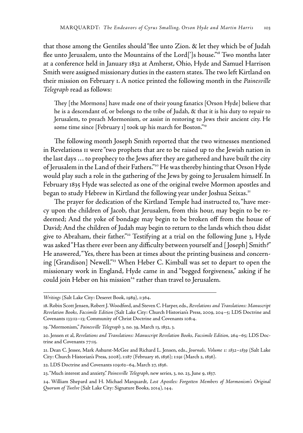that those among the Gentiles should "flee unto Zion. & let they which be of Judah flee unto Jerusalem, unto the Mountains of the Lord[']s house."18 Two months later at a conference held in January 1832 at Amherst, Ohio, Hyde and Samuel Harrison Smith were assigned missionary duties in the eastern states. The two left Kirtland on their mission on February 1. A notice printed the following month in the *Painesville Telegraph* read as follows:

They [the Mormons] have made one of their young fanatics [Orson Hyde] believe that he is a descendant of, or belongs to the tribe of Judah, & that it is his duty to repair to Jerusalem, to preach Mormonism, or assist in restoring to Jews their ancient city. He some time since [February 1] took up his march for Boston."<sup>19</sup>

The following month Joseph Smith reported that the two witnesses mentioned in Revelations 11 were "two prophets that are to be raised up to the Jewish nation in the last days … to prophecy to the Jews after they are gathered and have built the city of Jerusalem in the Land of their Fathers."<sup>20</sup> He was thereby hinting that Orson Hyde would play such a role in the gathering of the Jews by going to Jerusalem himself. In February 1835 Hyde was selected as one of the original twelve Mormon apostles and began to study Hebrew in Kirtland the following year under Joshua Seixas.<sup>21</sup>

The prayer for dedication of the Kirtland Temple had instructed to, "have mercy upon the children of Jacob, that Jerusalem, from this hour, may begin to be redeemed; And the yoke of bondage may begin to be broken off from the house of David; And the children of Judah may begin to return to the lands which thou didst give to Abraham, their father."<sup>22</sup> Testifying at a trial on the following June 3, Hyde was asked "Has there ever been any difficulty between yourself and [ Joseph] Smith?" He answered, "Yes, there has been at times about the printing business and concerning [Grandison] Newell."<sup>23</sup> When Heber C. Kimball was set to depart to open the missionary work in England, Hyde came in and "begged forgiveness," asking if he could join Heber on his mission<sup>24</sup> rather than travel to Jerusalem.

*Writings* (Salt Lake City: Deseret Book, 1989), 1:364.

<sup>18.</sup> Robin Scott Jensen, Robert J. Woodford, and Steven C. Harper, eds., *Revelations and Translations: Manuscript Revelation Books, Facsimile Edition* (Salt Lake City: Church Historian's Press, 2009, 204–5; LDS Doctrine and Covenants 133:12–13; Community of Christ Doctrine and Covenants 108:4.

<sup>19. &</sup>quot;Mormonism," *Painesville Telegraph* 3, no. 39, March 13, 1832, 3.

<sup>20.</sup> Jensen et al, Revelations and Translations: Manuscript Revelation Books, Facsimile Edition, 264–65; LDS Doctrine and Covenants 77:15.

<sup>21.</sup> Dean C. Jessee, Mark Ashurst-McGee and Richard L. Jensen, eds., *Journals, Volume 1: 1832–1839* (Salt Lake City: Church Historian's Press, 2008), 1:187 (February 16, 1836); 1:191 (March 2, 1836).

<sup>22.</sup> LDS Doctrine and Covenants 109:62–64, March 27, 1836.

<sup>23. &</sup>quot;Much interest and anxiety," *Painesville Telegraph*, new series, 3, no. 23, June 9, 1837.

<sup>24.</sup> William Shepard and H. Michael Marquardt, *Lost Apostles: Forgotten Members of Mormonism's Original Quorum of Twelve* (Salt Lake City: Signature Books, 2014), 144.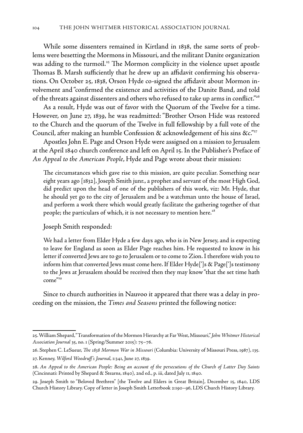While some dissenters remained in Kirtland in 1838, the same sorts of problems were besetting the Mormons in Missouri, and the militant Danite organization was adding to the turmoil.<sup>25</sup> The Mormon complicity in the violence upset apostle Thomas B. Marsh sufficiently that he drew up an affidavit confirming his observations. On October 25, 1838, Orson Hyde co-signed the affidavit about Mormon involvement and "confirmed the existence and activities of the Danite Band, and told of the threats against dissenters and others who refused to take up arms in conflict."<sup>26</sup>

As a result, Hyde was out of favor with the Quorum of the Twelve for a time. However, on June 27, 1839, he was readmitted: "Brother Orson Hide was restored to the Church and the quorum of the Twelve in full fellowship by a full vote of the Council, after making an humble Confession & acknowledgement of his sins  $\&c$ ."<sup>27</sup>

Apostles John E. Page and Orson Hyde were assigned on a mission to Jerusalem at the April 1840 church conference and left on April 15. In the Publisher's Preface of *An Appeal to the American People*, Hyde and Page wrote about their mission:

The circumstances which gave rise to this mission, are quite peculiar. Something near eight years ago [1832], Joseph Smith junr., a prophet and servant of the most High God, did predict upon the head of one of the publishers of this work, viz: Mr. Hyde, that he should yet go to the city of Jerusalem and be a watchman unto the house of Israel, and perform a work there which would greatly facilitate the gathering together of that people; the particulars of which, it is not necessary to mention here.<sup>28</sup>

#### Joseph Smith responded:

We had a letter from Elder Hyde a few days ago, who is in New Jersey, and is expecting to leave for England as soon as Elder Page reaches him. He requested to know in his letter if converted Jews are to go to Jerusalem or to come to Zion. I therefore wish you to inform him that converted Jews must come here. If Elder Hyde[']s & Page[']s testimony to the Jews at Jerusalem should be received then they may know "that the set time hath come"29

Since to church authorities in Nauvoo it appeared that there was a delay in proceeding on the mission, the *Times and Seasons* printed the following notice:

<sup>25.</sup> William Shepard, "Transformation of the Mormon Hierarchy at Far West, Missouri," *John Whitmer Historical Association Journal* 35, no. 1 (Spring/Summer 2015): 75–76.

<sup>26.</sup> Stephen C. LeSueur, *The 1838 Mormon War in Missouri* (Columbia: University of Missouri Press, 1987), 135. 27. Kenney, *Wilford Woodruff's Journal*, 1:341, June 27, 1839.

<sup>28.</sup> *An Appeal to the American People: Being an account of the persecutions of the Church of Latter Day Saints* (Cincinnati: Printed by Shepard & Stearns, 1840), 2nd ed., p. iii, dated July 11, 1840.

<sup>29.</sup> Joseph Smith to "Beloved Brethren" [the Twelve and Elders in Great Britain], December 15, 1840, LDS Church History Library. Copy of letter in Joseph Smith Letterbook 2:190–96, LDS Church History Library.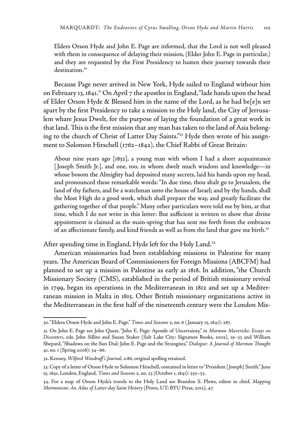Elders Orson Hyde and John E. Page are informed, that the Lord is not well pleased with them in consequence of delaying their mission, (Elder John E. Page in particular,) and they are requested by the First Presidency to hasten their journey towards their destination.<sup>30</sup>

Because Page never arrived in New York, Hyde sailed to England without him on February 13, 1841.<sup>31</sup> On April 7 the apostles in England, "lade hands upon the head of Elder Orson Hyde & Blessed him in the name of the Lord, as he had be[e]n set apart by the first Presidency to take a mission to the Holy land, the City of Jerrusalem whare Jesus Dwelt, for the purpose of laying the foundation of a great work in that land. This is the first mission that any man has taken to the land of Asia belonging to the church of Christ of Latter Day Saints."32 Hyde then wrote of his assignment to Solomon Hirschell (1762–1842), the Chief Rabbi of Great Britain:

About nine years ago [1832], a young man with whom I had a short acquaintance [ Joseph Smith Jr.], and one, too, in whom dwelt much wisdom and knowledge—in whose bosom the Almighty had deposited many secrets, laid his hands upon my head, and pronounced these remarkable words: "In due time, thou shalt go to Jerusalem, the land of thy fathers, and be a watchman unto the house of Israel; and by thy hands, shall the Most High do a good work, which shall prepare the way, and greatly facilitate the gathering together of that people." Many other particulars were told me by him, at that time, which I do not write in this letter: But sufficient is written to show that divine appointment is claimed as the main-spring that has sent me forth from the embraces of an affectionate family, and kind friends as well as from the land that gave me birth.<sup>33</sup>

After spending time in England, Hyde left for the Holy Land.<sup>34</sup>

American missionaries had been establishing missions in Palestine for many years. The American Board of Commissioners for Foreign Missions (ABCFM) had planned to set up a mission in Palestine as early as 1818. In addition, "the Church Missionary Society (CMS), established in the period of British missionary revival in 1799, began its operations in the Mediterranean in 1812 and set up a Mediterranean mission in Malta in 1815. Other British missionary organizations active in the Mediterranean in the first half of the nineteenth century were the London Mis-

<sup>30. &</sup>quot;Elders Orson Hyde and John E. Page," *Times and Seasons* 2, no. 6 ( January 15, 1841): 287.

<sup>31.</sup> On John E. Page see John Quest, "John E. Page: Apostle of Uncertainty," in *Mormon Mavericks: Essays on Dissenters*, eds. John Sillito and Susan Staker (Salt Lake City: Signature Books, 2002), 19–33 and William Shepard, "Shadows on the Sun Dial: John E. Page and the Strangites," *Dialogue: A Journal of Mormon Thought* 41, no. 1 (Spring 2008): 34–66.

<sup>32.</sup> Kenney, *Wilford Woodruff's Journal*, 2:86, original spelling retained.

<sup>33.</sup> Copy of a letter of Orson Hyde to Solomon Hirschell, contained in letter to "President [ Joseph] Smith," June 15, 1841, London, England, *Times and Seasons* 2, no. 23 (October 1, 1841): 552–53.

<sup>34.</sup> For a map of Orson Hyde's travels to the Holy Land see Brandon S. Plewe, editor in chief, *Mapping Mormonism: An Atlas of Latter-day Saint History* (Provo, UT: BYU Press, 2012), 47.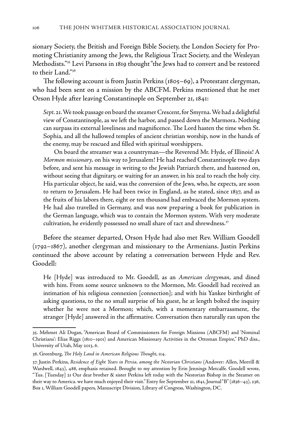sionary Society, the British and Foreign Bible Society, the London Society for Promoting Christianity among the Jews, the Religious Tract Society, and the Wesleyan Methodists."35 Levi Parsons in 1819 thought "the Jews had to convert and be restored to their Land."36

The following account is from Justin Perkins (1805–69), a Protestant clergyman, who had been sent on a mission by the ABCFM. Perkins mentioned that he met Orson Hyde after leaving Constantinople on September 21, 1841:

*Sept*. 21. We took passage on board the steamer Crescent, for Smyrna. We had a delightful view of Constantinople, as we left the harbor, and passed down the Marmora. Nothing can surpass its external loveliness and magnificence. The Lord hasten the time when St. Sophia, and all the hallowed temples of ancient christian worship, now in the hands of the enemy, may be rescued and filled with spiritual worshippers.

 On board the streamer was a countryman—the Reverend Mr. Hyde, of Illinois! A *Mormon missionary,* on his way to Jerusalem! He had reached Constantinople two days before, and sent his message in writing to the Jewish Patriarch there, and hastened on, without seeing that dignitary, or waiting for an answer, in his zeal to reach the holy city. His particular object, he said, was the conversion of the Jews, who, he expects, are soon to return to Jerusalem. He had been twice in England, as he stated, since 1837, and as the fruits of his labors there, eight or ten thousand had embraced the Mormon system. He had also travelled in Germany, and was now preparing a book for publication in the German language, which was to contain the Mormon system. With very moderate cultivation, he evidently possessed no small share of tact and shrewdness.<sup>37</sup>

Before the steamer departed, Orson Hyde had also met Rev. William Goodell (1792–1867), another clergyman and missionary to the Armenians. Justin Perkins continued the above account by relating a conversation between Hyde and Rev. Goodell:

He [Hyde] was introduced to Mr. Goodell, as an *American clergyman*, and dined with him. From some source unknown to the Mormon, Mr. Goodell had received an intimation of his religious connexion [connection]; and with his Yankee birthright of asking questions, to the no small surprise of his guest, he at length bolted the inquiry whether he were not a Mormon; which, with a momentary embarrassment, the stranger [Hyde] answered in the affirmative. Conversation then naturally ran upon the

<sup>35.</sup> Mehmet Ali Dogan, "American Board of Commissioners for Foreign Missions (ABCFM) and 'Nominal Christians': Elias Riggs (1810–1901) and American Missionary Activities in the Ottoman Empire," PhD diss., University of Utah, May 2013, 6.

<sup>36.</sup> Greenburg, *The Holy Land in American Religious Thought*, 114.

<sup>37.</sup> Justin Perkins, *Residence of Eight Years in Persia, among the Nestorian Christians* (Andover: Allen, Morrill & Wardwell, 1843), 488, emphasis retained. Brought to my attention by Erin Jennings Metcalfe. Goodell wrote, "Tus. [Tuesday] 21 Our dear brother & sister Perkins left today with the Nestorian Bishop in the Steamer on their way to America. we have much enjoyed their visit." Entry for September 21, 1841, Journal "B" (1836–43), 236, Box 1, William Goodell papers, Manuscript Division, Library of Congress, Washington, DC.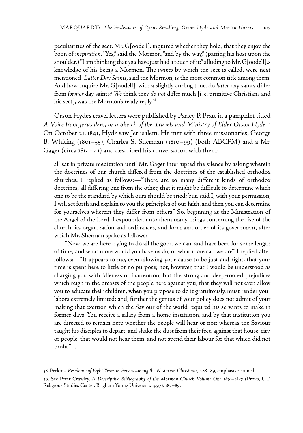peculiarities of the sect. Mr. G[oodell]. inquired whether they hold, that they enjoy the boon of *inspiration*. "Yes," said the Mormon, "and by the way," (patting his host upon the shoulder,) "I am thinking that *you* have just had a touch of it;" alluding to Mr. G[oodell].'s knowledge of his being a Mormon. The *names* by which the sect is called, were next mentioned. *Latter Day Saints*, said the Mormon, is the most common title among them. And how, inquire Mr. G[oodell]. with a slightly curling tone, do *latter* day saints differ from *former* day saints? *We* think they *do not* differ much [i. e. primitive Christians and his sect], was the Mormon's ready reply.<sup>38</sup>

Orson Hyde's travel letters were published by Parley P. Pratt in a pamphlet titled *A Voice from Jerusalem, or a Sketch of the Travels and Ministry of Elder Orson Hyde*. 39 On October 21, 1841, Hyde saw Jerusalem. He met with three missionaries, George B. Whiting (1801–55), Charles S. Sherman (1810–99) (both ABCFM) and a Mr. Gager (circa 1814–41) and described his conversation with them:

all sat in private meditation until Mr. Gager interrupted the silence by asking wherein the doctrines of our church differed from the doctrines of the established orthodox churches. I replied as follows:—"There are so many different kinds of orthodox doctrines, all differing one from the other, that it might be difficult to determine which one to be the standard by which ours should be tried; but, said I, with your permission, I will set forth and explain to you the principles of our faith, and then you can determine for yourselves wherein they differ from others." So, beginning at the Ministration of the Angel of the Lord, I expounded unto them many things concerning the rise of the church, its organization and ordinances, and form and order of its government, after which Mr. Sherman spake as follows:—

 "Now, we are here trying to do all the good we can, and have been for some length of time; and what more would you have us do, or what more can we do?" I replied after follows:—"It appears to me, even allowing your cause to be just and right, that your time is spent here to little or no purpose; not, however, that I would be understood as charging you with idleness or inattention; but the strong and deep-rooted prejudices which reign in the breasts of the people here against you, that they will not even allow you to educate their children, when you propose to do it gratuitously, must render your labors extremely limited; and, further the genius of your policy does not admit of your making that exertion which the Saviour of the world required his servants to make in former days. You receive a salary from a home institution, and by that institution you are directed to remain here whether the people will hear or not; whereas the Saviour taught his disciples to depart, and shake the dust from their feet, against that house, city, or people, that would not hear them, and not spend their labour for that which did not profit." . . .

<sup>38.</sup> Perkins, *Residence of Eight Years in Persia, among the Nestorian Christians*, 488–89, emphasis retained.

<sup>39.</sup> See Peter Crawley, *A Descriptive Bibliography of the Mormon Church Volume One 1830–1847* (Provo, UT: Religious Studies Center, Brigham Young University, 1997), 187–89.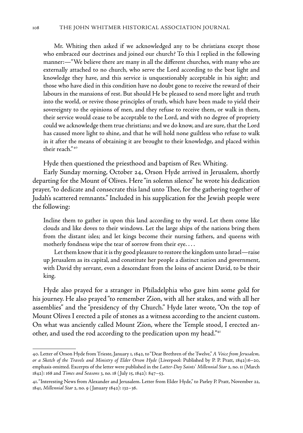Mr. Whiting then asked if we acknowledged any to be christians except those who embraced our doctrines and joined our church? To this I replied in the following manner:—"We believe there are many in all the different churches, with many who are externally attached to no church, who serve the Lord according to the best light and knowledge they have, and this service is unquestionably acceptable in his sight; and those who have died in this condition have no doubt gone to receive the reward of their labours in the mansions of rest. But should He be pleased to send more light and truth into the world, or revive those principles of truth, which have been made to yield their sovereignty to the opinions of men, and they refuse to receive them, or walk in them, their service would cease to be acceptable to the Lord, and with no degree of propriety could we acknowledge them true christians; and we do know, and are sure, that the Lord has caused more light to shine, and that he will hold none guiltless who refuse to walk in it after the means of obtaining it are brought to their knowledge, and placed within their reach." 40

Hyde then questioned the priesthood and baptism of Rev. Whiting.

Early Sunday morning, October 24, Orson Hyde arrived in Jerusalem, shortly departing for the Mount of Olives. Here "in solemn silence" he wrote his dedication prayer, "to dedicate and consecrate this land unto Thee, for the gathering together of Judah's scattered remnants." Included in his supplication for the Jewish people were the following:

Incline them to gather in upon this land according to thy word. Let them come like clouds and like doves to their windows. Let the large ships of the nations bring them from the distant isles; and let kings become their nursing fathers, and queens with motherly fondness wipe the tear of sorrow from their eye. . . .

 Let them know that it is thy good pleasure to restore the kingdom unto Israel—raise up Jerusalem as its capital, and constitute her people a distinct nation and government, with David thy servant, even a descendant from the loins of ancient David, to be their king.

Hyde also prayed for a stranger in Philadelphia who gave him some gold for his journey. He also prayed "to remember Zion, with all her stakes, and with all her assemblies" and the "presidency of thy Church." Hyde later wrote, "On the top of Mount Olives I erected a pile of stones as a witness according to the ancient custom. On what was anciently called Mount Zion, where the Temple stood, I erected another, and used the rod according to the predication upon my head."<sup>41</sup>

<sup>40.</sup> Letter of Orson Hyde from Trieste, January 1, 1842, to "Dear Brethren of the Twelve," *A Voice from Jerusalem, or a Sketch of the Travels and Ministry of Elder Orson Hyde* (Liverpool: Published by P. P. Pratt, 1842):6–20, emphasis omitted. Excerpts of the letter were published in the *Latter-Day Saints' Millennial Star* 2, no. 11 (March 1842): 168 and *Times and Seasons* 3, no. 18 ( July 15, 1842): 847–53.

<sup>41. &</sup>quot;Interesting News from Alexander and Jerusalem. Letter from Elder Hyde," to Parley P. Pratt, November 22, 1841, *Millennial Star* 2, no. 9 ( January 1842): 132–36.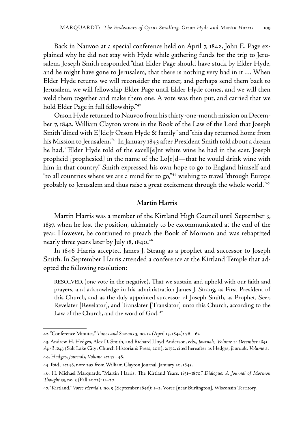Back in Nauvoo at a special conference held on April 7, 1842, John E. Page explained why he did not stay with Hyde while gathering funds for the trip to Jerusalem. Joseph Smith responded "that Elder Page should have stuck by Elder Hyde, and he might have gone to Jerusalem, that there is nothing very bad in it … When Elder Hyde returns we will reconsider the matter, and perhaps send them back to Jerusalem, we will fellowship Elder Page until Elder Hyde comes, and we will then weld them together and make them one. A vote was then put, and carried that we hold Elder Page in full fellowship."42

Orson Hyde returned to Nauvoo from his thirty-one-month mission on December 7, 1842. William Clayton wrote in the Book of the Law of the Lord that Joseph Smith "dined with E[lde]r Orson Hyde & family" and "this day returned home from his Mission to Jerusalem."43 In January 1843 after President Smith told about a dream he had, "Elder Hyde told of the excell[e]nt white wine he had in the east. Joseph prophcid [prophesied] in the name of the Lo[r]d—that he would drink wine with him in that country." Smith expressed his own hope to go to England himself and "to all countries where we are a mind for to go,"<sup>44</sup> wishing to travel "through Europe probably to Jerusalem and thus raise a great excitement through the whole world."45

#### **Martin Harris**

Martin Harris was a member of the Kirtland High Council until September 3, 1837, when he lost the position, ultimately to be excommunicated at the end of the year. However, he continued to preach the Book of Mormon and was rebaptized nearly three years later by July 18, 1840.<sup>46</sup>

In 1846 Harris accepted James J. Strang as a prophet and successor to Joseph Smith. In September Harris attended a conference at the Kirtland Temple that adopted the following resolution:

RESOLVED, (one vote in the negative), That we sustain and uphold with our faith and prayers, and acknowledge in his administration James J. Strang, as First President of this Church, and as the duly appointed successor of Joseph Smith, as Prophet, Seer, Revelater [Revelator], and Translater [Translator] unto this Church, according to the Law of the Church, and the word of God.<sup>47</sup>

<sup>42. &</sup>quot;Conference Minutes," *Times and Seasons* 3, no. 12 (April 15, 1842): 761–62

<sup>43.</sup> Andrew H. Hedges, Alex D. Smith, and Richard Lloyd Anderson, eds., *Journals, Volume 2: December 1841– April 1843* (Salt Lake City: Church Historian's Press, 2011), 2:172, cited hereafter as Hedges, *Journals, Volume 2*. 44. Hedges, *Journals, Volume 2*:247–48.

<sup>45.</sup> Ibid., 2:248, note 297 from William Clayton Journal, January 20, 1843.

<sup>46.</sup> H. Michael Marquardt, "Martin Harris: The Kirtland Years, 1831–1870," *Dialogue: A Journal of Mormon Thought* 35, no. 3 (Fall 2002): 11–20.

<sup>47. &</sup>quot;Kirtland," *Voree Herald* 1, no. 9 (September 1846): 1–2, Voree [near Burlington], Wisconsin Territory.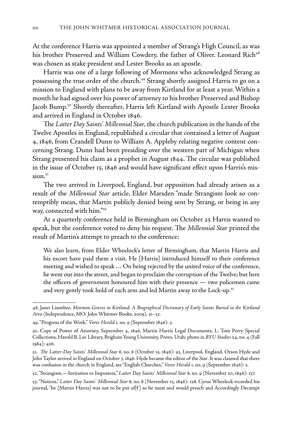At the conference Harris was appointed a member of Strang's High Council, as was his brother Preserved and William Cowdery, the father of Oliver. Leonard Rich<sup>48</sup> was chosen as stake president and Lester Brooks as an apostle.

Harris was one of a large following of Mormons who acknowledged Strang as possessing the true order of the church.<sup>49</sup> Strang shortly assigned Harris to go on a mission to England with plans to be away from Kirtland for at least a year. Within a month he had signed over his power of attorney to his brother Preserved and Bishop Jacob Bump.<sup>50</sup> Shortly thereafter, Harris left Kirtland with Apostle Lester Brooks and arrived in England in October 1846.

The *Latter Day Saints' Millennial Star*, the church publication in the hands of the Twelve Apostles in England, republished a circular that contained a letter of August 4, 1846, from Crandell Dunn to William A. Appleby relating negative content concerning Strang. Dunn had been presiding over the western part of Michigan when Strang presented his claim as a prophet in August 1844. The circular was published in the issue of October 15, 1846 and would have significant effect upon Harris's mis $sion.<sup>51</sup>$ 

The two arrived in Liverpool, England, but opposition had already arisen as a result of the *Millennial Star* article. Elder Marsden "made Strangism look so contemptibly mean, that Martin publicly denied being sent by Strang, or being in any way, connected with him."52

At a quarterly conference held in Birmingham on October 25 Harris wanted to speak, but the conference voted to deny his request. The *Millennial Star* printed the result of Martin's attempt to preach to the conference:

We also learn, from Elder Wheelock's letter of Birmingham, that Martin Harris and his escort have paid them a visit. He [Harris] introduced himself to their conference meeting and wished to speak … On being rejected by the united voice of the conference, he went out into the street, and began to proclaim the corruption of the Twelve; but here the officers of government honoured him with their presence — two policemen came and very gently took hold of each arm and led Martin away to the Lock-up.<sup>53</sup>

52. "Strangism.—Invitation to Imposters," *Latter Day Saints' Millennial Star* 8, no. 9 (November 20, 1846): 137.

<sup>48.</sup> Janet Lisonbee, *Mormon Graves in Kirtland: A Biographical Dictionary of Early Saints Buried in the Kirtland Area* (Independence, MO: John Whitmer Books, 2009), 31–33.

<sup>49. &</sup>quot;Progress of the Work," *Voree Herald* 1, no. 9 (September 1846): 3.

<sup>50.</sup> Copy of Power of Attorney, September 4, 1846, Martin Harris Legal Documents, L. Tom Perry Special Collections, Harold B. Lee Library, Brigham Young University, Provo, Utah; photo in *BYU Studies* 24, no. 4 (Fall 1984): 426.

<sup>51.</sup> *The Latter-Day Saints' Millennial Star* 8, no. 6 (October 15, 1846): 93, Liverpool, England. Orson Hyde and John Taylor arrived in England on October 3, 1846. Hyde became the editor of the *Star*. It was claimed that there was confusion in the church in England, see "English Churches," *Voree Herald* 1, no. 9 (September 1846): 3.

<sup>53. &</sup>quot;Notices," *Latter Day Saints' Millennial Star* 8, no. 8 (November 15, 1846): 128. Cyrus Wheelock recorded his journal, "he [Martin Harris] was not to be put of[f] so he must and would preach and Accordingly Decampt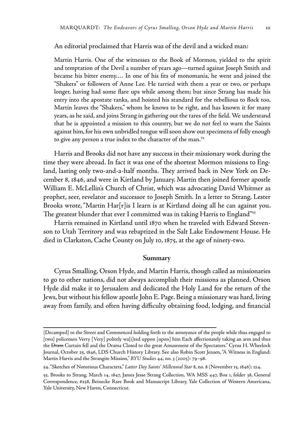#### An editorial proclaimed that Harris was of the devil and a wicked man:

Martin Harris. One of the witnesses to the Book of Mormon, yielded to the spirit and temptation of the Devil a number of years ago—turned against Joseph Smith and became his bitter enemy.… In one of his fits of monomania, he went and joined the "Shakers" or followers of Anne Lee. He tarried with them a year or two, or perhaps longer, having had some flare ups while among them; but since Strang has made his entry into the apostate ranks, and hoisted his standard for the rebellious to flock too, Martin leaves the "Shakers," whom he knows to be right, and has known it for many years, as he said, and joins Strang in gathering out the tares of the field. We understand that he is appointed a mission to this country, but we do not feel to warn the Saints against him, for his own unbridled tongue will soon show out specimens of folly enough to give any person a true index to the character of the man.<sup>54</sup>

Harris and Brooks did not have any success in their missionary work during the time they were abroad. In fact it was one of the shortest Mormon missions to England, lasting only two-and-a-half months. They arrived back in New York on December 8, 1846, and were in Kirtland by January. Martin then joined former apostle William E. McLellin's Church of Christ, which was advocating David Whitmer as prophet, seer, revelator and successor to Joseph Smith. In a letter to Strang, Lester Brooks wrote, "Martin Har[r]is I learn is at Kirtland doing all he can against you. The greatest blunder that ever I committed was in taking Harris to England"<sup>55</sup>

Harris remained in Kirtland until 1870 when he traveled with Edward Stevenson to Utah Territory and was rebaptized in the Salt Lake Endowment House. He died in Clarkston, Cache County on July 10, 1875, at the age of ninety-two.

#### **Summary**

Cyrus Smalling, Orson Hyde, and Martin Harris, though called as missionaries to go to other nations, did not always accomplish their missions as planned. Orson Hyde did make it to Jerusalem and dedicated the Holy Land for the return of the Jews, but without his fellow apostle John E. Page. Being a missionary was hard, living away from family, and often having difficulty obtaining food, lodging, and financial

<sup>[</sup>Decamped] to the Street and Commenced holding forth to the annoyance of the people while thus engaged to [two] policemen Verry [Very] politely wa[i]ted uppon [upon] him Each affectionately taking an arm and thus the Dram Curtain fell and the Drama Closed to the great Amusement of the Spectators." Cyrus H. Wheelock Journal, October 25, 1846, LDS Church History Library. See also Robin Scott Jensen, "A Witness in England: Martin Harris and the Strangite Mission," *BYU Studies* 44, no. 3 (2005): 79–98.

<sup>54. &</sup>quot;Sketches of Notorious Characters," *Latter Day Saints' Millennial Star* 8, no. 8 (November 15, 1846): 124.

<sup>55.</sup> Brooks to Strang, March 14, 1847, James Jesse Strang Collection, WA MSS 447, Box 1, folder 38, General Correspondence, #258, Beinecke Rare Book and Manuscript Library, Yale Collection of Western Americana, Yale University, New Haven, Connecticut.